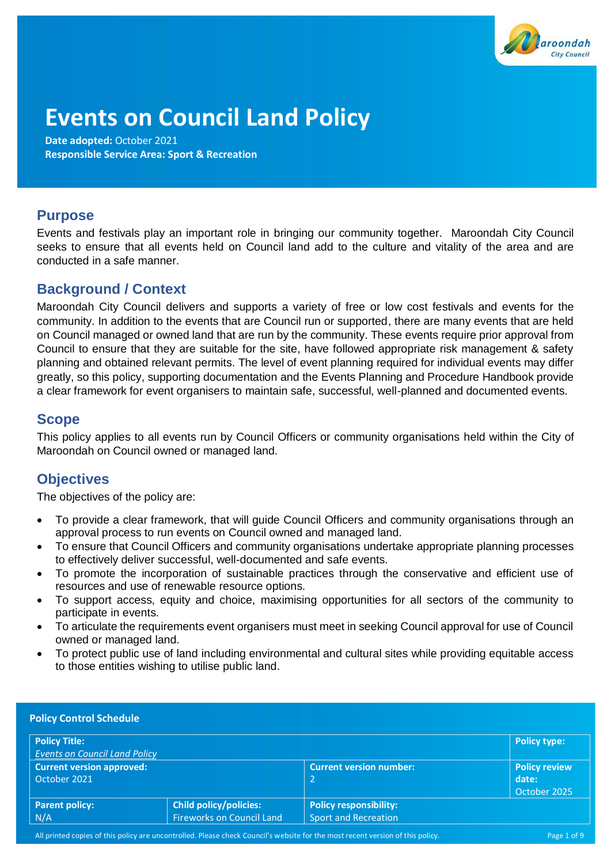

# **Events on Council Land Policy**

**Date adopted:** October 2021 **Responsible Service Area: Sport & Recreation** 

# **Purpose**

Events and festivals play an important role in bringing our community together. Maroondah City Council seeks to ensure that all events held on Council land add to the culture and vitality of the area and are conducted in a safe manner.

# **Background / Context**

Maroondah City Council delivers and supports a variety of free or low cost festivals and events for the community. In addition to the events that are Council run or supported, there are many events that are held on Council managed or owned land that are run by the community. These events require prior approval from Council to ensure that they are suitable for the site, have followed appropriate risk management & safety planning and obtained relevant permits. The level of event planning required for individual events may differ greatly, so this policy, supporting documentation and the Events Planning and Procedure Handbook provide a clear framework for event organisers to maintain safe, successful, well-planned and documented events.

# **Scope**

This policy applies to all events run by Council Officers or community organisations held within the City of Maroondah on Council owned or managed land.

# **Objectives**

The objectives of the policy are:

- To provide a clear framework, that will guide Council Officers and community organisations through an approval process to run events on Council owned and managed land.
- To ensure that Council Officers and community organisations undertake appropriate planning processes to effectively deliver successful, well-documented and safe events.
- To promote the incorporation of sustainable practices through the conservative and efficient use of resources and use of renewable resource options.
- To support access, equity and choice, maximising opportunities for all sectors of the community to participate in events.
- To articulate the requirements event organisers must meet in seeking Council approval for use of Council owned or managed land.
- To protect public use of land including environmental and cultural sites while providing equitable access to those entities wishing to utilise public land.

| <b>Policy Control Schedule</b>       |                                  |                                |                      |  |
|--------------------------------------|----------------------------------|--------------------------------|----------------------|--|
| <b>Policy Title:</b>                 |                                  |                                | Policy type:         |  |
| <b>Events on Council Land Policy</b> |                                  |                                |                      |  |
| <b>Current version approved:</b>     |                                  | <b>Current version number:</b> | <b>Policy review</b> |  |
| October 2021                         |                                  | $\overline{2}$                 | date:                |  |
|                                      |                                  |                                | October 2025         |  |
| <b>Parent policy:</b>                | <b>Child policy/policies:</b>    | <b>Policy responsibility:</b>  |                      |  |
| N/A                                  | <b>Fireworks on Council Land</b> | <b>Sport and Recreation</b>    |                      |  |

All printed copies of this policy are uncontrolled. Please check Council's website for the most recent version of this policy. Page 1 of 9 Page 1 of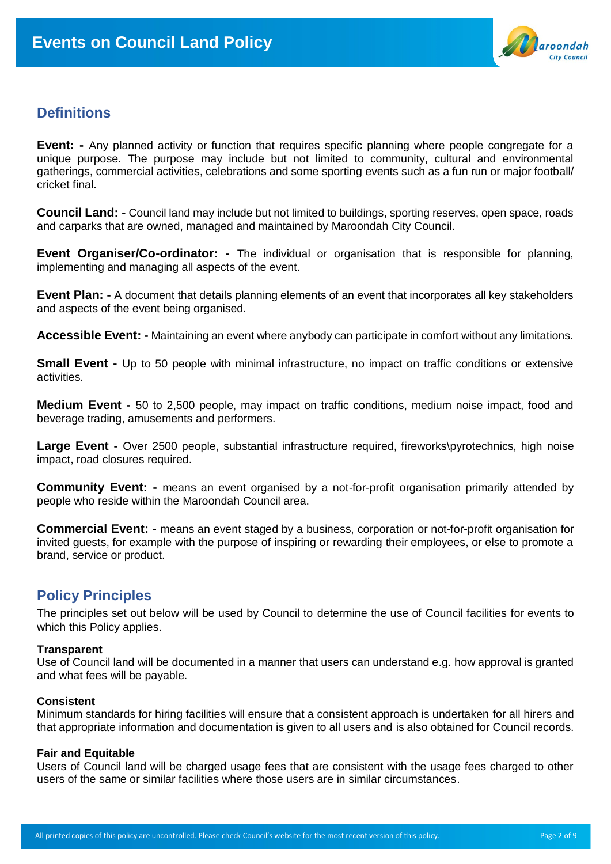

# **Definitions**

**Event:** - Any planned activity or function that requires specific planning where people congregate for a unique purpose. The purpose may include but not limited to community, cultural and environmental gatherings, commercial activities, celebrations and some sporting events such as a fun run or major football/ cricket final.

**Council Land: -** Council land may include but not limited to buildings, sporting reserves, open space, roads and carparks that are owned, managed and maintained by Maroondah City Council.

**Event Organiser/Co-ordinator: -** The individual or organisation that is responsible for planning, implementing and managing all aspects of the event.

**Event Plan: -** A document that details planning elements of an event that incorporates all key stakeholders and aspects of the event being organised.

**Accessible Event: -** Maintaining an event where anybody can participate in comfort without any limitations.

**Small Event -** Up to 50 people with minimal infrastructure, no impact on traffic conditions or extensive activities.

**Medium Event -** 50 to 2,500 people, may impact on traffic conditions, medium noise impact, food and beverage trading, amusements and performers.

**Large Event -** Over 2500 people, substantial infrastructure required, fireworks\pyrotechnics, high noise impact, road closures required.

**Community Event: -** means an event organised by a not-for-profit organisation primarily attended by people who reside within the Maroondah Council area.

**Commercial Event: -** means an event staged by a business, corporation or not-for-profit organisation for invited guests, for example with the purpose of inspiring or rewarding their employees, or else to promote a brand, service or product.

### **Policy Principles**

The principles set out below will be used by Council to determine the use of Council facilities for events to which this Policy applies.

#### **Transparent**

Use of Council land will be documented in a manner that users can understand e.g. how approval is granted and what fees will be payable.

#### **Consistent**

Minimum standards for hiring facilities will ensure that a consistent approach is undertaken for all hirers and that appropriate information and documentation is given to all users and is also obtained for Council records.

#### **Fair and Equitable**

Users of Council land will be charged usage fees that are consistent with the usage fees charged to other users of the same or similar facilities where those users are in similar circumstances.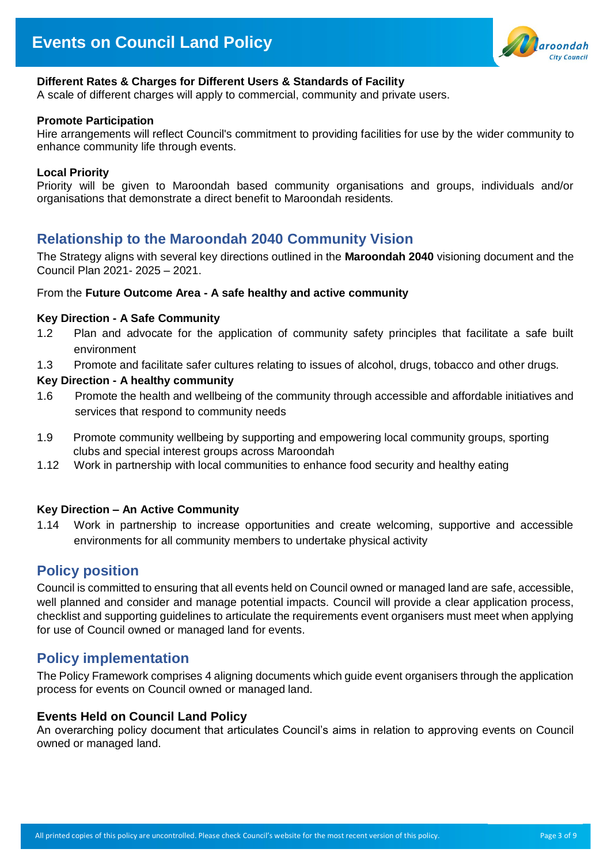

#### **Different Rates & Charges for Different Users & Standards of Facility**

A scale of different charges will apply to commercial, community and private users.

#### **Promote Participation**

Hire arrangements will reflect Council's commitment to providing facilities for use by the wider community to enhance community life through events.

#### **Local Priority**

Priority will be given to Maroondah based community organisations and groups, individuals and/or organisations that demonstrate a direct benefit to Maroondah residents.

### **Relationship to the Maroondah 2040 Community Vision**

The Strategy aligns with several key directions outlined in the **Maroondah 2040** visioning document and the Council Plan 2021- 2025 – 2021.

#### From the **Future Outcome Area - A safe healthy and active community**

#### **Key Direction - A Safe Community**

- 1.2 Plan and advocate for the application of community safety principles that facilitate a safe built environment
- 1.3 Promote and facilitate safer cultures relating to issues of alcohol, drugs, tobacco and other drugs.

#### **Key Direction - A healthy community**

- 1.6 Promote the health and wellbeing of the community through accessible and affordable initiatives and services that respond to community needs
- 1.9 Promote community wellbeing by supporting and empowering local community groups, sporting clubs and special interest groups across Maroondah
- 1.12 Work in partnership with local communities to enhance food security and healthy eating

#### **Key Direction – An Active Community**

1.14 Work in partnership to increase opportunities and create welcoming, supportive and accessible environments for all community members to undertake physical activity

### **Policy position**

Council is committed to ensuring that all events held on Council owned or managed land are safe, accessible, well planned and consider and manage potential impacts. Council will provide a clear application process, checklist and supporting guidelines to articulate the requirements event organisers must meet when applying for use of Council owned or managed land for events.

### **Policy implementation**

The Policy Framework comprises 4 aligning documents which guide event organisers through the application process for events on Council owned or managed land.

#### **Events Held on Council Land Policy**

An overarching policy document that articulates Council's aims in relation to approving events on Council owned or managed land.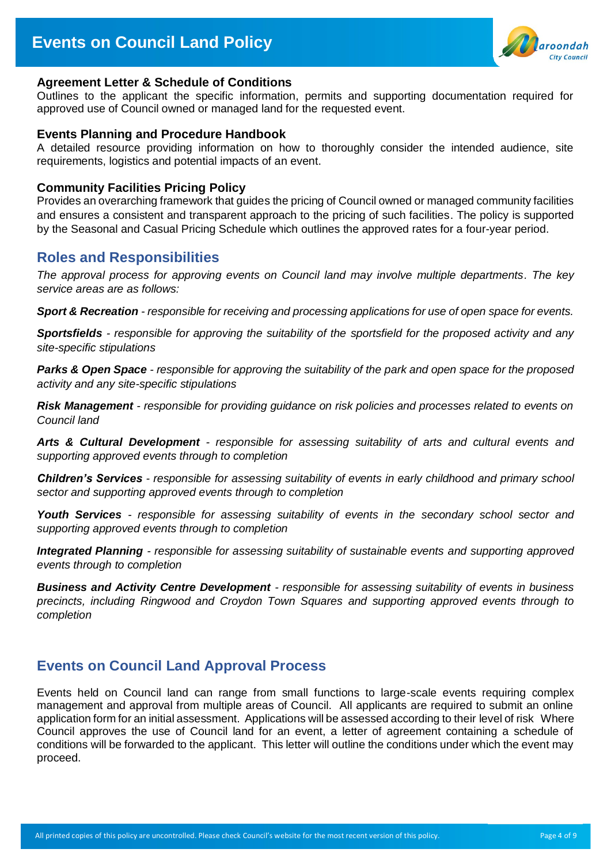

#### **Agreement Letter & Schedule of Conditions**

Outlines to the applicant the specific information, permits and supporting documentation required for approved use of Council owned or managed land for the requested event.

#### **Events Planning and Procedure Handbook**

A detailed resource providing information on how to thoroughly consider the intended audience, site requirements, logistics and potential impacts of an event.

#### **Community Facilities Pricing Policy**

Provides an overarching framework that guides the pricing of Council owned or managed community facilities and ensures a consistent and transparent approach to the pricing of such facilities. The policy is supported by the Seasonal and Casual Pricing Schedule which outlines the approved rates for a four-year period.

### **Roles and Responsibilities**

*The approval process for approving events on Council land may involve multiple departments. The key service areas are as follows:* 

*Sport & Recreation - responsible for receiving and processing applications for use of open space for events.* 

*Sportsfields - responsible for approving the suitability of the sportsfield for the proposed activity and any site-specific stipulations*

*Parks & Open Space - responsible for approving the suitability of the park and open space for the proposed activity and any site-specific stipulations*

*Risk Management - responsible for providing guidance on risk policies and processes related to events on Council land*

*Arts & Cultural Development - responsible for assessing suitability of arts and cultural events and supporting approved events through to completion*

*Children's Services - responsible for assessing suitability of events in early childhood and primary school sector and supporting approved events through to completion*

*Youth Services - responsible for assessing suitability of events in the secondary school sector and supporting approved events through to completion*

*Integrated Planning - responsible for assessing suitability of sustainable events and supporting approved events through to completion*

*Business and Activity Centre Development - responsible for assessing suitability of events in business precincts, including Ringwood and Croydon Town Squares and supporting approved events through to completion*

### **Events on Council Land Approval Process**

Events held on Council land can range from small functions to large-scale events requiring complex management and approval from multiple areas of Council. All applicants are required to submit an online application form for an initial assessment. Applications will be assessed according to their level of risk Where Council approves the use of Council land for an event, a letter of agreement containing a schedule of conditions will be forwarded to the applicant. This letter will outline the conditions under which the event may proceed.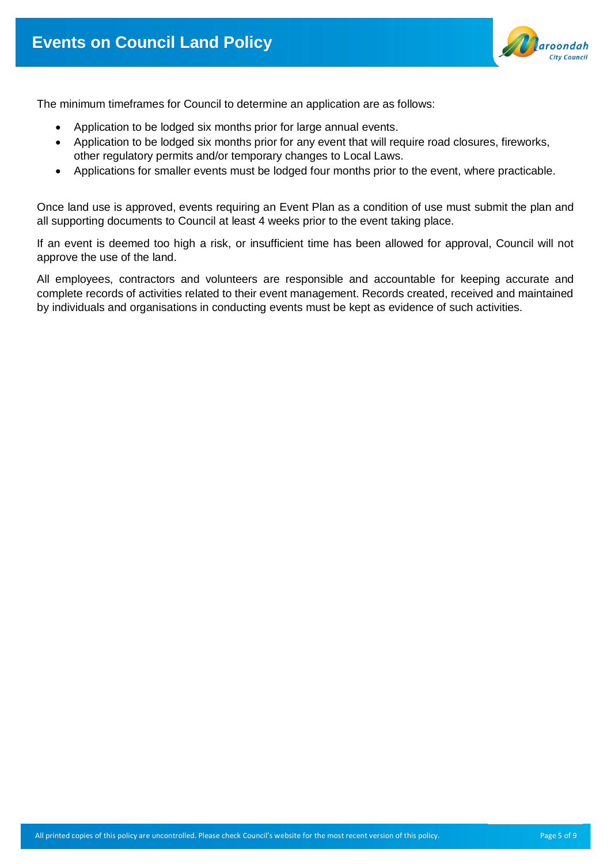

The minimum timeframes for Council to determine an application are as follows:

- Application to be lodged six months prior for large annual events.
- Application to be lodged six months prior for any event that will require road closures, fireworks, other regulatory permits and/or temporary changes to Local Laws.
- Applications for smaller events must be lodged four months prior to the event, where practicable.

Once land use is approved, events requiring an Event Plan as a condition of use must submit the plan and all supporting documents to Council at least 4 weeks prior to the event taking place.

If an event is deemed too high a risk, or insufficient time has been allowed for approval, Council will not approve the use of the land.

All employees, contractors and volunteers are responsible and accountable for keeping accurate and complete records of activities related to their event management. Records created, received and maintained by individuals and organisations in conducting events must be kept as evidence of such activities.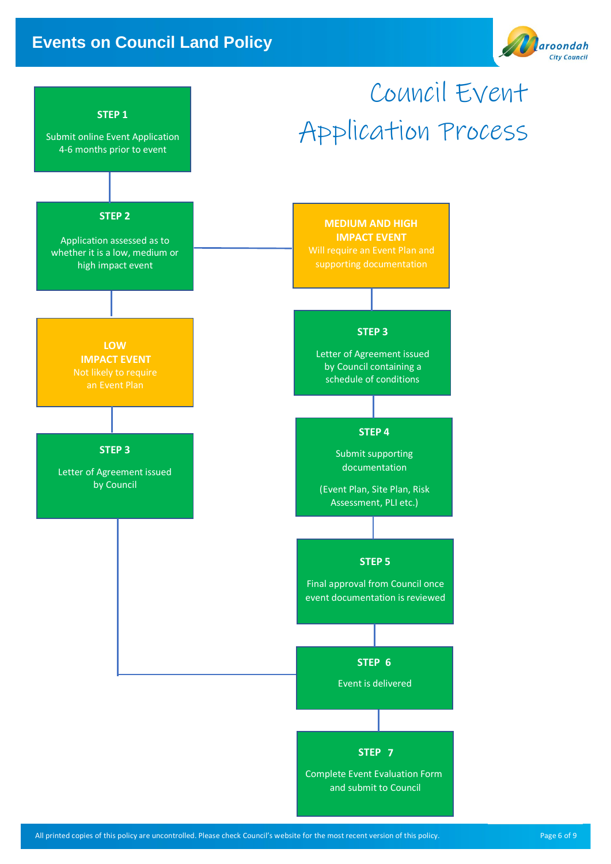# **Events on Council Land Policy**



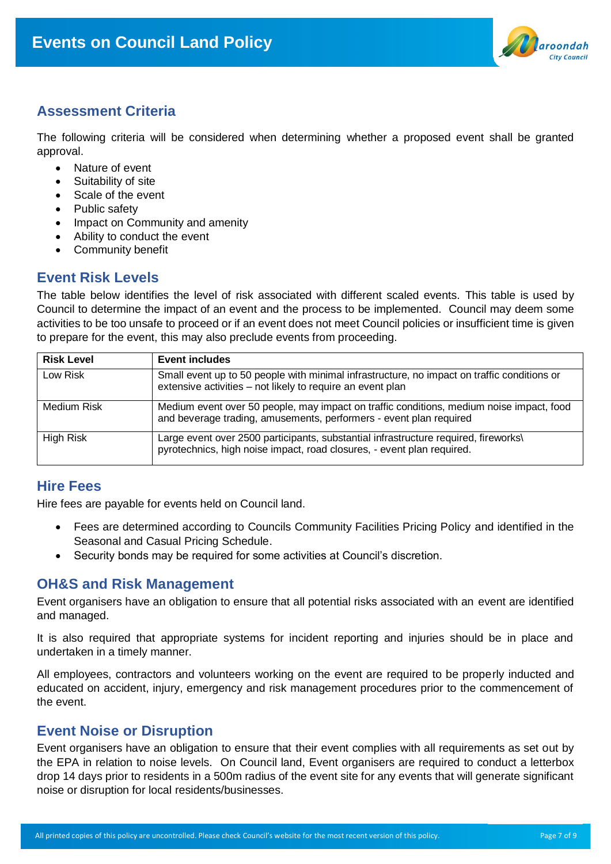

# **Assessment Criteria**

The following criteria will be considered when determining whether a proposed event shall be granted approval.

- Nature of event
- Suitability of site
- Scale of the event
- Public safety
- Impact on Community and amenity
- Ability to conduct the event
- **Community benefit**

### **Event Risk Levels**

The table below identifies the level of risk associated with different scaled events. This table is used by Council to determine the impact of an event and the process to be implemented. Council may deem some activities to be too unsafe to proceed or if an event does not meet Council policies or insufficient time is given to prepare for the event, this may also preclude events from proceeding.

| <b>Risk Level</b> | <b>Event includes</b>                                                                                                                                          |
|-------------------|----------------------------------------------------------------------------------------------------------------------------------------------------------------|
| Low Risk          | Small event up to 50 people with minimal infrastructure, no impact on traffic conditions or<br>extensive activities - not likely to require an event plan      |
| Medium Risk       | Medium event over 50 people, may impact on traffic conditions, medium noise impact, food<br>and beverage trading, amusements, performers - event plan required |
| High Risk         | Large event over 2500 participants, substantial infrastructure required, fireworks\<br>pyrotechnics, high noise impact, road closures, - event plan required.  |

# **Hire Fees**

Hire fees are payable for events held on Council land.

- Fees are determined according to Councils Community Facilities Pricing Policy and identified in the Seasonal and Casual Pricing Schedule.
- Security bonds may be required for some activities at Council's discretion.

### **OH&S and Risk Management**

Event organisers have an obligation to ensure that all potential risks associated with an event are identified and managed.

It is also required that appropriate systems for incident reporting and injuries should be in place and undertaken in a timely manner.

All employees, contractors and volunteers working on the event are required to be properly inducted and educated on accident, injury, emergency and risk management procedures prior to the commencement of the event.

# **Event Noise or Disruption**

Event organisers have an obligation to ensure that their event complies with all requirements as set out by the EPA in relation to noise levels. On Council land, Event organisers are required to conduct a letterbox drop 14 days prior to residents in a 500m radius of the event site for any events that will generate significant noise or disruption for local residents/businesses.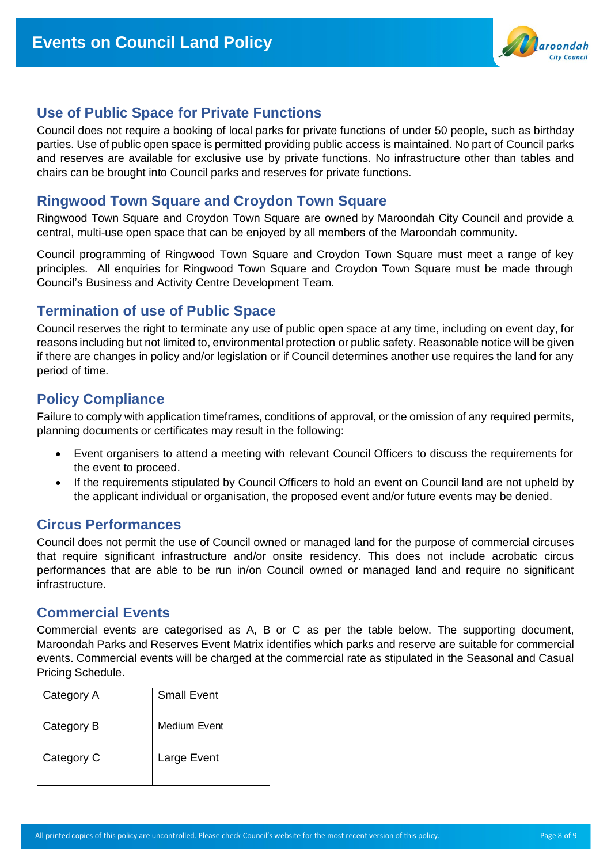

# **Use of Public Space for Private Functions**

Council does not require a booking of local parks for private functions of under 50 people, such as birthday parties. Use of public open space is permitted providing public access is maintained. No part of Council parks and reserves are available for exclusive use by private functions. No infrastructure other than tables and chairs can be brought into Council parks and reserves for private functions.

## **Ringwood Town Square and Croydon Town Square**

Ringwood Town Square and Croydon Town Square are owned by Maroondah City Council and provide a central, multi-use open space that can be enjoyed by all members of the Maroondah community.

Council programming of Ringwood Town Square and Croydon Town Square must meet a range of key principles. All enquiries for Ringwood Town Square and Croydon Town Square must be made through Council's Business and Activity Centre Development Team.

# **Termination of use of Public Space**

Council reserves the right to terminate any use of public open space at any time, including on event day, for reasons including but not limited to, environmental protection or public safety. Reasonable notice will be given if there are changes in policy and/or legislation or if Council determines another use requires the land for any period of time.

# **Policy Compliance**

Failure to comply with application timeframes, conditions of approval, or the omission of any required permits, planning documents or certificates may result in the following:

- Event organisers to attend a meeting with relevant Council Officers to discuss the requirements for the event to proceed.
- If the requirements stipulated by Council Officers to hold an event on Council land are not upheld by the applicant individual or organisation, the proposed event and/or future events may be denied.

# **Circus Performances**

Council does not permit the use of Council owned or managed land for the purpose of commercial circuses that require significant infrastructure and/or onsite residency. This does not include acrobatic circus performances that are able to be run in/on Council owned or managed land and require no significant infrastructure.

# **Commercial Events**

Commercial events are categorised as A, B or C as per the table below. The supporting document, Maroondah Parks and Reserves Event Matrix identifies which parks and reserve are suitable for commercial events. Commercial events will be charged at the commercial rate as stipulated in the Seasonal and Casual Pricing Schedule.

| Category A | <b>Small Event</b> |
|------------|--------------------|
| Category B | Medium Event       |
| Category C | Large Event        |